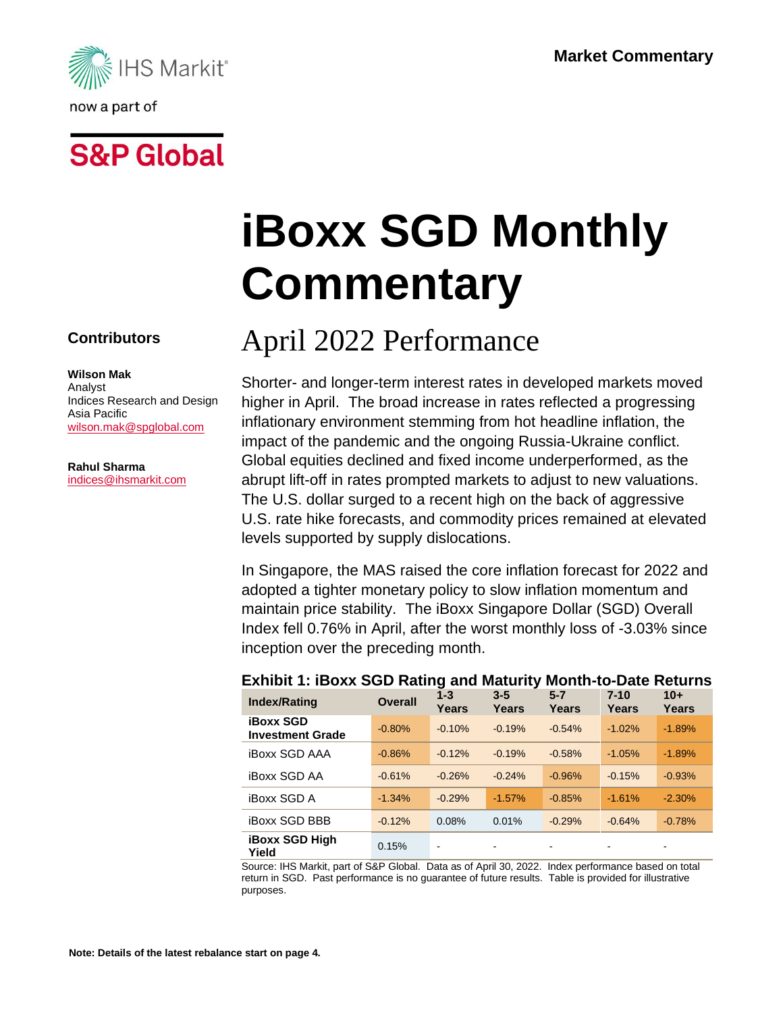

## **S&P Global**

# **iBoxx SGD Monthly Commentary**

## April 2022 Performance

Shorter- and longer-term interest rates in developed markets moved higher in April. The broad increase in rates reflected a progressing inflationary environment stemming from hot headline inflation, the impact of the pandemic and the ongoing Russia-Ukraine conflict. Global equities declined and fixed income underperformed, as the abrupt lift-off in rates prompted markets to adjust to new valuations. The U.S. dollar surged to a recent high on the back of aggressive U.S. rate hike forecasts, and commodity prices remained at elevated levels supported by supply dislocations.

In Singapore, the MAS raised the core inflation forecast for 2022 and adopted a tighter monetary policy to slow inflation momentum and maintain price stability. The iBoxx Singapore Dollar (SGD) Overall Index fell 0.76% in April, after the worst monthly loss of -3.03% since inception over the preceding month.

| <b>Index/Rating</b>                         | <b>Overall</b> | $1 - 3$<br>Years | $3 - 5$<br>Years | $5 - 7$<br>Years         | $7 - 10$<br>Years | $10+$<br><b>Years</b> |
|---------------------------------------------|----------------|------------------|------------------|--------------------------|-------------------|-----------------------|
| <b>iBoxx SGD</b><br><b>Investment Grade</b> | $-0.80%$       | $-0.10%$         | $-0.19%$         | $-0.54%$                 | $-1.02%$          | $-1.89%$              |
| <b>iBoxx SGD AAA</b>                        | $-0.86%$       | $-0.12%$         | $-0.19%$         | $-0.58%$                 | $-1.05%$          | $-1.89%$              |
| <b>iBoxx SGD AA</b>                         | $-0.61%$       | $-0.26%$         | $-0.24%$         | $-0.96%$                 | $-0.15%$          | $-0.93%$              |
| <b>iBoxx SGD A</b>                          | $-1.34%$       | $-0.29%$         | $-1.57%$         | $-0.85%$                 | $-1.61%$          | $-2.30%$              |
| <b>iBoxx SGD BBB</b>                        | $-0.12%$       | 0.08%            | 0.01%            | $-0.29%$                 | $-0.64%$          | $-0.78%$              |
| <b>iBoxx SGD High</b><br>Yield              | 0.15%          | $\blacksquare$   |                  | $\overline{\phantom{a}}$ |                   |                       |

#### **Exhibit 1: iBoxx SGD Rating and Maturity Month-to-Date Returns**

Source: IHS Markit, part of S&P Global. Data as of April 30, 2022. Index performance based on total return in SGD. Past performance is no guarantee of future results. Table is provided for illustrative purposes.

#### **Contributors**

#### **Wilson Mak**

Analyst Indices Research and Design Asia Pacific [wilson.mak@spglobal.com](mailto:wilson.mak@spglobal.com)

**Rahul Sharma** [indices@ihsmarkit.com](mailto:indices@ihsmarkit.com)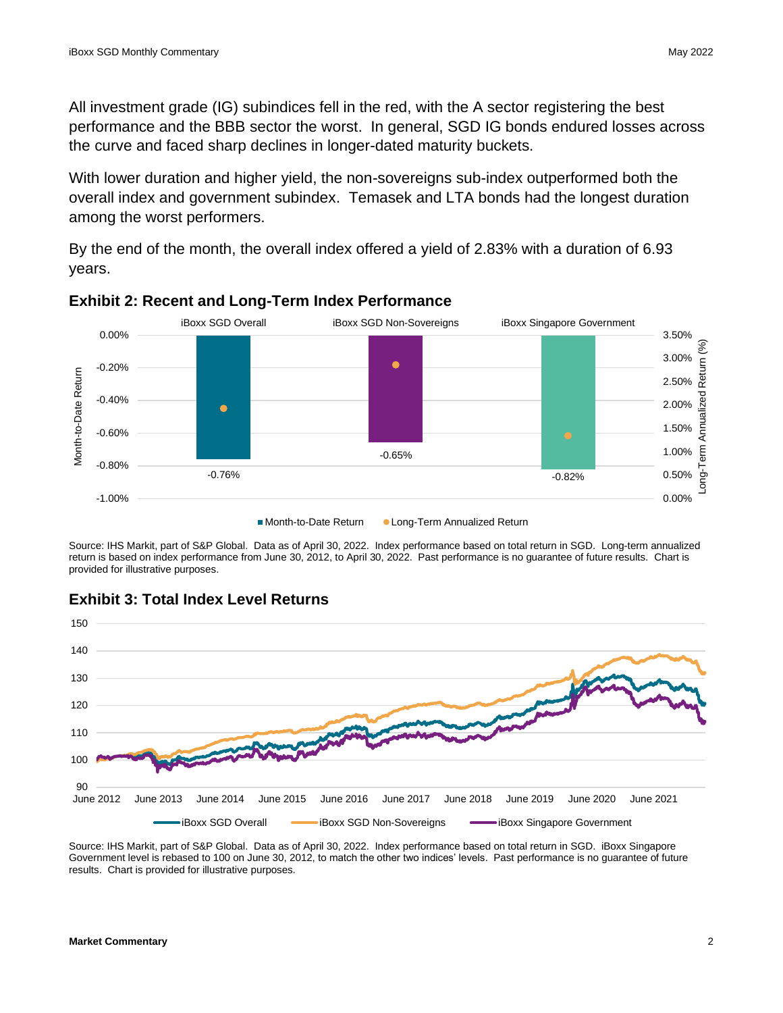All investment grade (IG) subindices fell in the red, with the A sector registering the best performance and the BBB sector the worst. In general, SGD IG bonds endured losses across the curve and faced sharp declines in longer-dated maturity buckets.

With lower duration and higher yield, the non-sovereigns sub-index outperformed both the overall index and government subindex. Temasek and LTA bonds had the longest duration among the worst performers.

By the end of the month, the overall index offered a yield of 2.83% with a duration of 6.93 years.



#### **Exhibit 2: Recent and Long-Term Index Performance**

Source: IHS Markit, part of S&P Global. Data as of April 30, 2022. Index performance based on total return in SGD. Long-term annualized return is based on index performance from June 30, 2012, to April 30, 2022. Past performance is no guarantee of future results. Chart is provided for illustrative purposes.



#### **Exhibit 3: Total Index Level Returns**

Source: IHS Markit, part of S&P Global. Data as of April 30, 2022. Index performance based on total return in SGD. iBoxx Singapore Government level is rebased to 100 on June 30, 2012, to match the other two indices' levels. Past performance is no guarantee of future results. Chart is provided for illustrative purposes.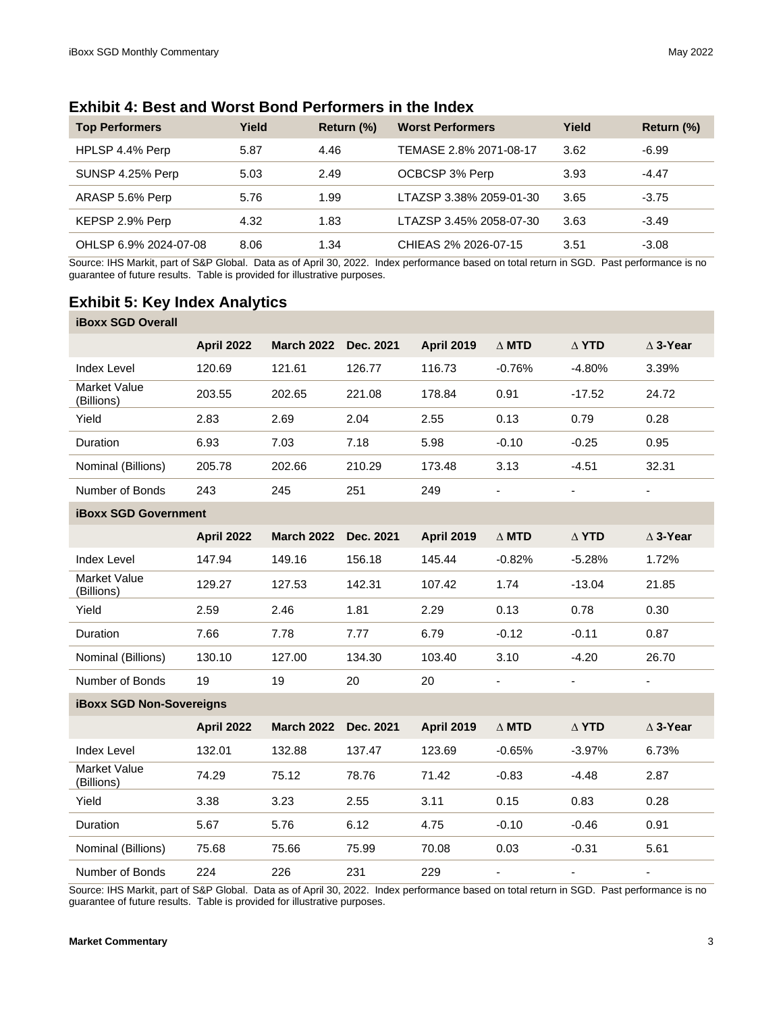| <b>Exhibit 4: Best and Worst Bond Performers in the Index</b> |  |  |
|---------------------------------------------------------------|--|--|
|---------------------------------------------------------------|--|--|

| <b>Top Performers</b> | Yield | Return (%) | <b>Worst Performers</b> | Yield | Return (%) |
|-----------------------|-------|------------|-------------------------|-------|------------|
| HPLSP 4.4% Perp       | 5.87  | 4.46       | TEMASE 2.8% 2071-08-17  | 3.62  | -6.99      |
| SUNSP 4.25% Perp      | 5.03  | 2.49       | OCBCSP 3% Perp          | 3.93  | $-4.47$    |
| ARASP 5.6% Perp       | 5.76  | 1.99       | LTAZSP 3.38% 2059-01-30 | 3.65  | $-3.75$    |
| KEPSP 2.9% Perp       | 4.32  | 1.83       | LTAZSP 3.45% 2058-07-30 | 3.63  | $-3.49$    |
| OHLSP 6.9% 2024-07-08 | 8.06  | 1.34       | CHIEAS 2% 2026-07-15    | 3.51  | $-3.08$    |

Source: IHS Markit, part of S&P Global. Data as of April 30, 2022. Index performance based on total return in SGD. Past performance is no guarantee of future results. Table is provided for illustrative purposes.

#### **Exhibit 5: Key Index Analytics**

| <b>iBoxx SGD Overall</b>        |                   |                   |           |                   |              |                          |                          |
|---------------------------------|-------------------|-------------------|-----------|-------------------|--------------|--------------------------|--------------------------|
|                                 | <b>April 2022</b> | <b>March 2022</b> | Dec. 2021 | <b>April 2019</b> | $\Delta$ MTD | $\Delta$ YTD             | $\triangle$ 3-Year       |
| <b>Index Level</b>              | 120.69            | 121.61            | 126.77    | 116.73            | $-0.76%$     | $-4.80%$                 | 3.39%                    |
| Market Value<br>(Billions)      | 203.55            | 202.65            | 221.08    | 178.84            | 0.91         | $-17.52$                 | 24.72                    |
| Yield                           | 2.83              | 2.69              | 2.04      | 2.55              | 0.13         | 0.79                     | 0.28                     |
| Duration                        | 6.93              | 7.03              | 7.18      | 5.98              | $-0.10$      | $-0.25$                  | 0.95                     |
| Nominal (Billions)              | 205.78            | 202.66            | 210.29    | 173.48            | 3.13         | $-4.51$                  | 32.31                    |
| Number of Bonds                 | 243               | 245               | 251       | 249               |              | $\overline{\phantom{a}}$ | $\blacksquare$           |
| <b>iBoxx SGD Government</b>     |                   |                   |           |                   |              |                          |                          |
|                                 | <b>April 2022</b> | <b>March 2022</b> | Dec. 2021 | <b>April 2019</b> | $\Delta$ MTD | $\Delta$ YTD             | $\triangle$ 3-Year       |
| <b>Index Level</b>              | 147.94            | 149.16            | 156.18    | 145.44            | $-0.82%$     | $-5.28%$                 | 1.72%                    |
| Market Value<br>(Billions)      | 129.27            | 127.53            | 142.31    | 107.42            | 1.74         | $-13.04$                 | 21.85                    |
| Yield                           | 2.59              | 2.46              | 1.81      | 2.29              | 0.13         | 0.78                     | 0.30                     |
| Duration                        | 7.66              | 7.78              | 7.77      | 6.79              | $-0.12$      | $-0.11$                  | 0.87                     |
| Nominal (Billions)              | 130.10            | 127.00            | 134.30    | 103.40            | 3.10         | $-4.20$                  | 26.70                    |
| Number of Bonds                 | 19                | 19                | 20        | 20                | ٠            | $\overline{\phantom{a}}$ | $\overline{\phantom{a}}$ |
| <b>iBoxx SGD Non-Sovereigns</b> |                   |                   |           |                   |              |                          |                          |
|                                 | <b>April 2022</b> | <b>March 2022</b> | Dec. 2021 | <b>April 2019</b> | $\Delta$ MTD | $\Delta$ YTD             | $\triangle$ 3-Year       |
| <b>Index Level</b>              | 132.01            | 132.88            | 137.47    | 123.69            | $-0.65%$     | $-3.97%$                 | 6.73%                    |
| Market Value<br>(Billions)      | 74.29             | 75.12             | 78.76     | 71.42             | $-0.83$      | $-4.48$                  | 2.87                     |
| Yield                           | 3.38              | 3.23              | 2.55      | 3.11              | 0.15         | 0.83                     | 0.28                     |
| Duration                        | 5.67              | 5.76              | 6.12      | 4.75              | $-0.10$      | $-0.46$                  | 0.91                     |
| Nominal (Billions)              | 75.68             | 75.66             | 75.99     | 70.08             | 0.03         | $-0.31$                  | 5.61                     |
| Number of Bonds                 | 224               | 226               | 231       | 229               |              | $\overline{\phantom{a}}$ | $\blacksquare$           |

Source: IHS Markit, part of S&P Global. Data as of April 30, 2022. Index performance based on total return in SGD. Past performance is no guarantee of future results. Table is provided for illustrative purposes.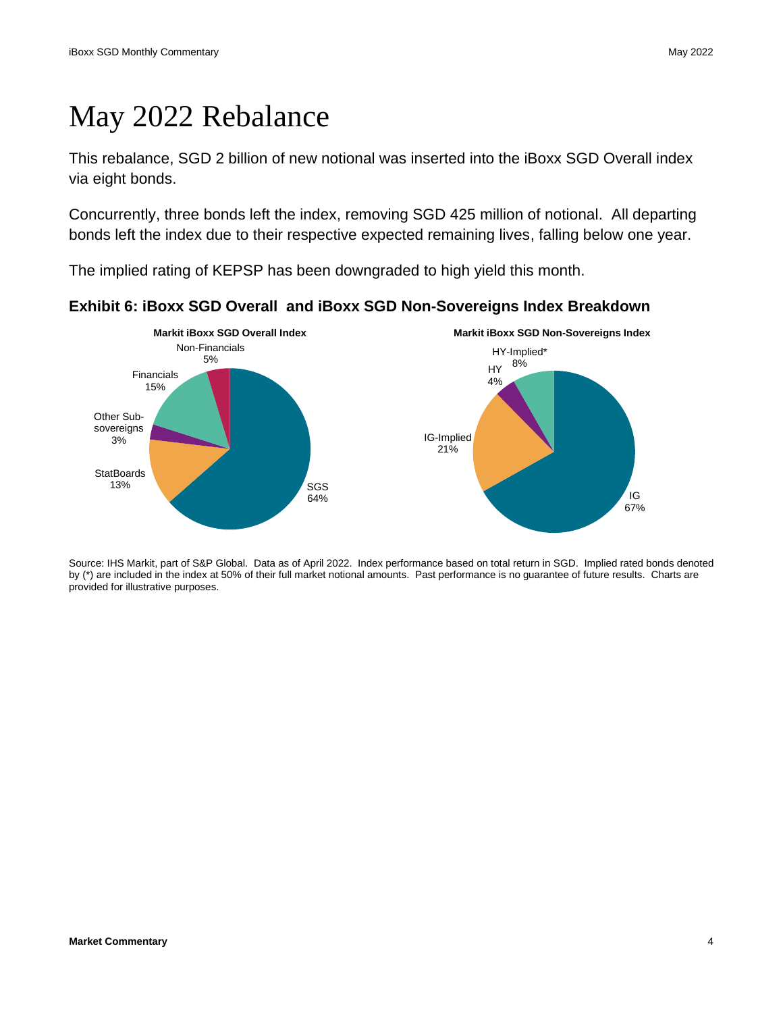## May 2022 Rebalance

This rebalance, SGD 2 billion of new notional was inserted into the iBoxx SGD Overall index via eight bonds.

Concurrently, three bonds left the index, removing SGD 425 million of notional. All departing bonds left the index due to their respective expected remaining lives, falling below one year.

The implied rating of KEPSP has been downgraded to high yield this month.



**Exhibit 6: iBoxx SGD Overall and iBoxx SGD Non-Sovereigns Index Breakdown**

Source: IHS Markit, part of S&P Global. Data as of April 2022. Index performance based on total return in SGD. Implied rated bonds denoted by (\*) are included in the index at 50% of their full market notional amounts. Past performance is no guarantee of future results. Charts are provided for illustrative purposes.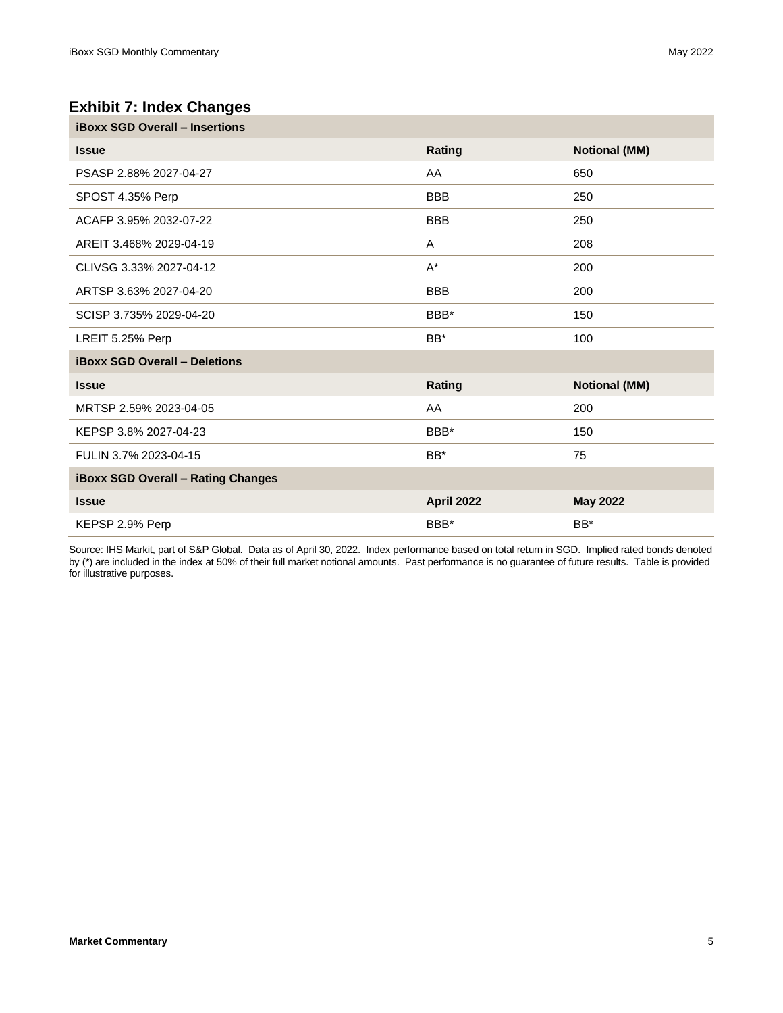#### **Exhibit 7: Index Changes**

| <b>iBoxx SGD Overall - Insertions</b>     |                   |                      |  |  |  |
|-------------------------------------------|-------------------|----------------------|--|--|--|
| <b>Issue</b>                              | Rating            | <b>Notional (MM)</b> |  |  |  |
| PSASP 2.88% 2027-04-27                    | AA                | 650                  |  |  |  |
| SPOST 4.35% Perp                          | <b>BBB</b>        | 250                  |  |  |  |
| ACAFP 3.95% 2032-07-22                    | <b>BBB</b>        | 250                  |  |  |  |
| AREIT 3.468% 2029-04-19                   | A                 | 208                  |  |  |  |
| CLIVSG 3.33% 2027-04-12                   | $A^*$             | 200                  |  |  |  |
| ARTSP 3.63% 2027-04-20                    | <b>BBB</b>        | 200                  |  |  |  |
| SCISP 3.735% 2029-04-20                   | BBB*              | 150                  |  |  |  |
| LREIT 5.25% Perp                          | BB*               | 100                  |  |  |  |
| <b>iBoxx SGD Overall - Deletions</b>      |                   |                      |  |  |  |
| <b>Issue</b>                              | Rating            | <b>Notional (MM)</b> |  |  |  |
| MRTSP 2.59% 2023-04-05                    | AA                | 200                  |  |  |  |
| KEPSP 3.8% 2027-04-23                     | BBB*              | 150                  |  |  |  |
| FULIN 3.7% 2023-04-15                     | BB*               | 75                   |  |  |  |
| <b>iBoxx SGD Overall - Rating Changes</b> |                   |                      |  |  |  |
| <b>Issue</b>                              | <b>April 2022</b> | <b>May 2022</b>      |  |  |  |
| KEPSP 2.9% Perp                           | BBB*              | BB*                  |  |  |  |

Source: IHS Markit, part of S&P Global. Data as of April 30, 2022. Index performance based on total return in SGD. Implied rated bonds denoted by (\*) are included in the index at 50% of their full market notional amounts. Past performance is no guarantee of future results. Table is provided for illustrative purposes.